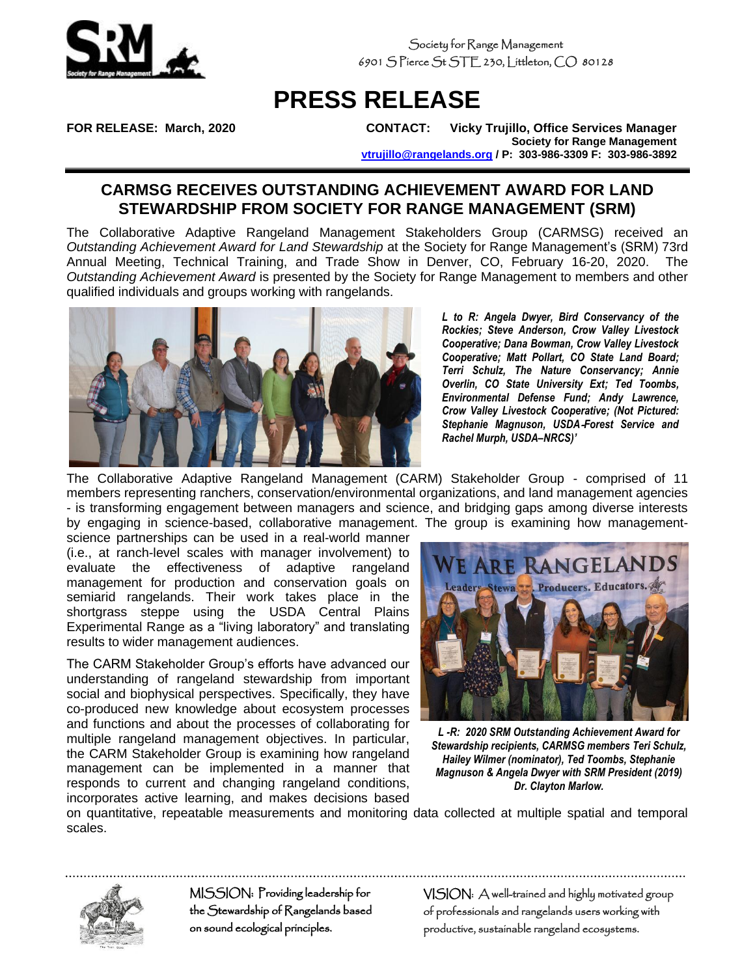

Society for Range Management 6901 S Pierce St STE 230, Littleton, CO 80128

## **PRESS RELEASE**

**FOR RELEASE: March, 2020 CONTACT: Vicky Trujillo, Office Services Manager Society for Range Management [vtrujillo@rangelands.org](mailto:vtrujillo@rangelands.org) / P: 303-986-3309 F: 303-986-3892**

## **CARMSG RECEIVES OUTSTANDING ACHIEVEMENT AWARD FOR LAND STEWARDSHIP FROM SOCIETY FOR RANGE MANAGEMENT (SRM)**

The Collaborative Adaptive Rangeland Management Stakeholders Group (CARMSG) received an *Outstanding Achievement Award for Land Stewardship* at the Society for Range Management's (SRM) 73rd Annual Meeting, Technical Training, and Trade Show in Denver, CO, February 16-20, 2020. The *Outstanding Achievement Award* is presented by the Society for Range Management to members and other qualified individuals and groups working with rangelands.



*L to R: Angela Dwyer, Bird Conservancy of the Rockies; Steve Anderson, Crow Valley Livestock Cooperative; Dana Bowman, Crow Valley Livestock Cooperative; Matt Pollart, CO State Land Board; Terri Schulz, The Nature Conservancy; Annie Overlin, CO State University Ext; Ted Toombs, Environmental Defense Fund; Andy Lawrence, Crow Valley Livestock Cooperative; (Not Pictured: Stephanie Magnuson, USDA*‐*Forest Service and Rachel Murph, USDA–NRCS)'*

The Collaborative Adaptive Rangeland Management (CARM) Stakeholder Group - comprised of 11 members representing ranchers, conservation/environmental organizations, and land management agencies - is transforming engagement between managers and science, and bridging gaps among diverse interests by engaging in science-based, collaborative management. The group is examining how management-

science partnerships can be used in a real-world manner (i.e., at ranch-level scales with manager involvement) to evaluate the effectiveness of adaptive rangeland management for production and conservation goals on semiarid rangelands. Their work takes place in the shortgrass steppe using the USDA Central Plains Experimental Range as a "living laboratory" and translating results to wider management audiences.

The CARM Stakeholder Group's efforts have advanced our understanding of rangeland stewardship from important social and biophysical perspectives. Specifically, they have co-produced new knowledge about ecosystem processes and functions and about the processes of collaborating for multiple rangeland management objectives. In particular, the CARM Stakeholder Group is examining how rangeland management can be implemented in a manner that responds to current and changing rangeland conditions, incorporates active learning, and makes decisions based



*L -R: 2020 SRM Outstanding Achievement Award for Stewardship recipients, CARMSG members Teri Schulz, Hailey Wilmer (nominator), Ted Toombs, Stephanie Magnuson & Angela Dwyer with SRM President (2019) Dr. Clayton Marlow.*

on quantitative, repeatable measurements and monitoring data collected at multiple spatial and temporal scales.



MISSION: Providing leadership for the Stewardship of Rangelands based on sound ecological principles.

VISION: A well-trained and highly motivated group of professionals and rangelands users working with productive, sustainable rangeland ecosystems.